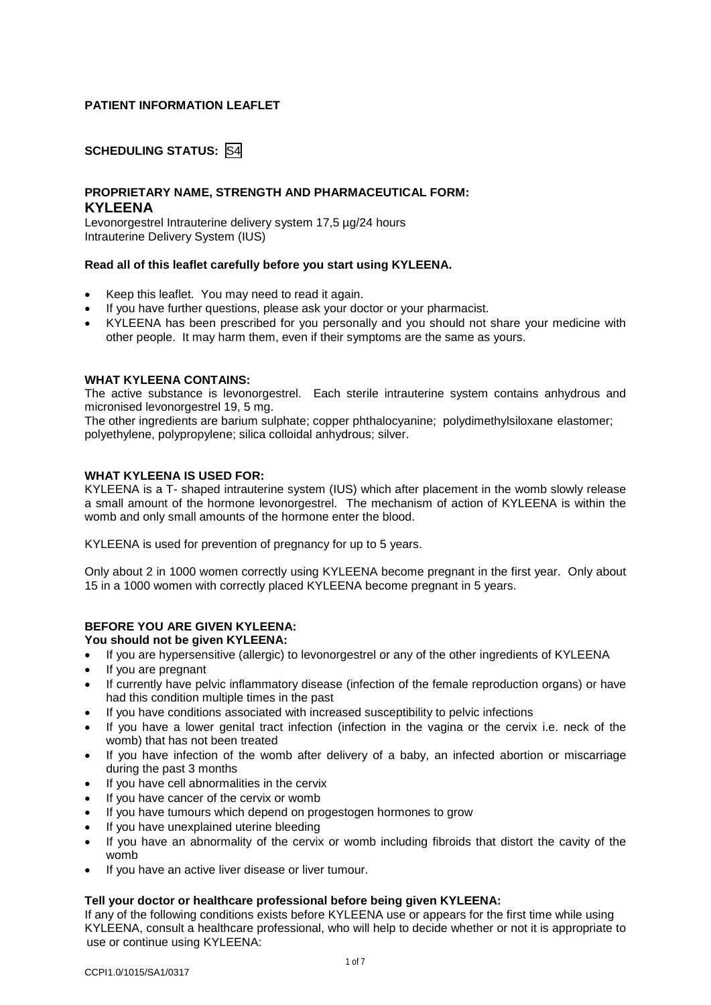# **PATIENT INFORMATION LEAFLET**

# **SCHEDULING STATUS:** S4

# **PROPRIETARY NAME, STRENGTH AND PHARMACEUTICAL FORM: KYLEENA**

Levonorgestrel Intrauterine delivery system 17,5 µg/24 hours Intrauterine Delivery System (IUS)

## **Read all of this leaflet carefully before you start using KYLEENA.**

- Keep this leaflet. You may need to read it again.
- If you have further questions, please ask your doctor or your pharmacist.
- KYLEENA has been prescribed for you personally and you should not share your medicine with other people. It may harm them, even if their symptoms are the same as yours.

## **WHAT KYLEENA CONTAINS:**

The active substance is levonorgestrel. Each sterile intrauterine system contains anhydrous and micronised levonorgestrel 19, 5 mg.

The other ingredients are barium sulphate; copper phthalocyanine; polydimethylsiloxane elastomer; polyethylene, polypropylene; silica colloidal anhydrous; silver.

## **WHAT KYLEENA IS USED FOR:**

KYLEENA is a T- shaped intrauterine system (IUS) which after placement in the womb slowly release a small amount of the hormone levonorgestrel. The mechanism of action of KYLEENA is within the womb and only small amounts of the hormone enter the blood.

KYLEENA is used for prevention of pregnancy for up to 5 years.

Only about 2 in 1000 women correctly using KYLEENA become pregnant in the first year. Only about 15 in a 1000 women with correctly placed KYLEENA become pregnant in 5 years.

# **BEFORE YOU ARE GIVEN KYLEENA:**

## **You should not be given KYLEENA:**

- If you are hypersensitive (allergic) to levonorgestrel or any of the other ingredients of KYLEENA
- If you are pregnant
- If currently have pelvic inflammatory disease (infection of the female reproduction organs) or have had this condition multiple times in the past
- If you have conditions associated with increased susceptibility to pelvic infections
- If you have a lower genital tract infection (infection in the vagina or the cervix i.e. neck of the womb) that has not been treated
- If you have infection of the womb after delivery of a baby, an infected abortion or miscarriage during the past 3 months
- If you have cell abnormalities in the cervix
- If you have cancer of the cervix or womb
- If you have tumours which depend on progestogen hormones to grow
- If you have unexplained uterine bleeding
- If you have an abnormality of the cervix or womb including fibroids that distort the cavity of the womb
- If you have an active liver disease or liver tumour.

## **Tell your doctor or healthcare professional before being given KYLEENA:**

If any of the following conditions exists before KYLEENA use or appears for the first time while using KYLEENA, consult a healthcare professional, who will help to decide whether or not it is appropriate to use or continue using KYLEENA: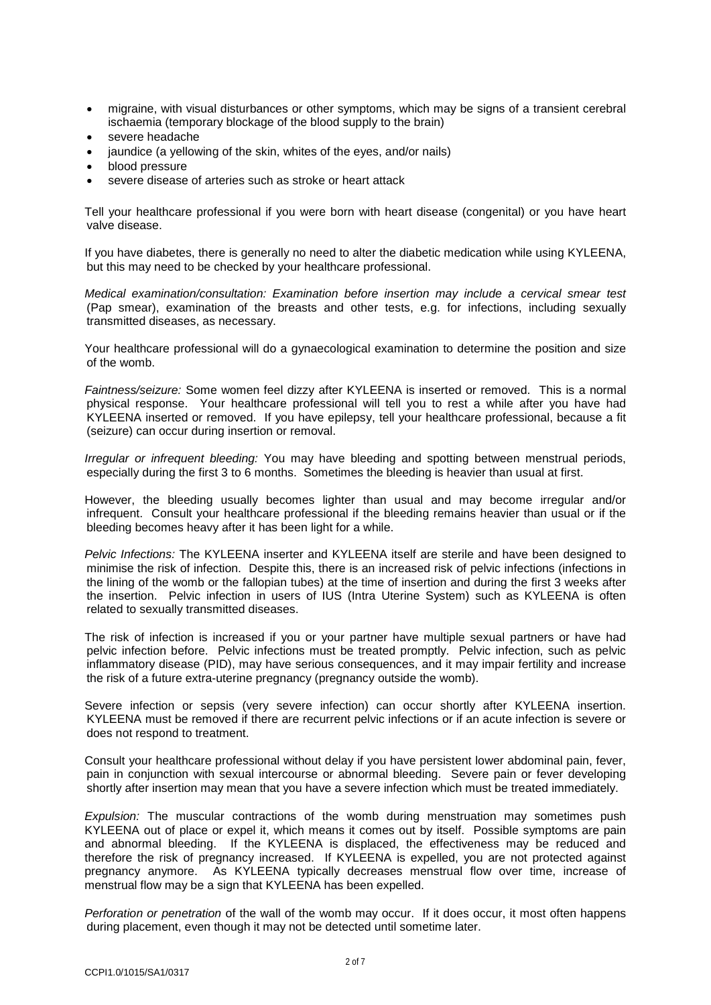- migraine, with visual disturbances or other symptoms, which may be signs of a transient cerebral ischaemia (temporary blockage of the blood supply to the brain)
- severe headache
- jaundice (a yellowing of the skin, whites of the eyes, and/or nails)
- blood pressure
- severe disease of arteries such as stroke or heart attack

Tell your healthcare professional if you were born with heart disease (congenital) or you have heart valve disease.

If you have diabetes, there is generally no need to alter the diabetic medication while using KYLEENA, but this may need to be checked by your healthcare professional.

*Medical examination/consultation: Examination before insertion may include a cervical smear test* (Pap smear), examination of the breasts and other tests, e.g. for infections, including sexually transmitted diseases, as necessary.

Your healthcare professional will do a gynaecological examination to determine the position and size of the womb.

*Faintness/seizure:* Some women feel dizzy after KYLEENA is inserted or removed. This is a normal physical response. Your healthcare professional will tell you to rest a while after you have had KYLEENA inserted or removed. If you have epilepsy, tell your healthcare professional, because a fit (seizure) can occur during insertion or removal.

*Irregular or infrequent bleeding:* You may have bleeding and spotting between menstrual periods, especially during the first 3 to 6 months. Sometimes the bleeding is heavier than usual at first.

However, the bleeding usually becomes lighter than usual and may become irregular and/or infrequent. Consult your healthcare professional if the bleeding remains heavier than usual or if the bleeding becomes heavy after it has been light for a while.

*Pelvic Infections:* The KYLEENA inserter and KYLEENA itself are sterile and have been designed to minimise the risk of infection. Despite this, there is an increased risk of pelvic infections (infections in the lining of the womb or the fallopian tubes) at the time of insertion and during the first 3 weeks after the insertion. Pelvic infection in users of IUS (Intra Uterine System) such as KYLEENA is often related to sexually transmitted diseases.

The risk of infection is increased if you or your partner have multiple sexual partners or have had pelvic infection before. Pelvic infections must be treated promptly. Pelvic infection, such as pelvic inflammatory disease (PID), may have serious consequences, and it may impair fertility and increase the risk of a future extra-uterine pregnancy (pregnancy outside the womb).

Severe infection or sepsis (very severe infection) can occur shortly after KYLEENA insertion. KYLEENA must be removed if there are recurrent pelvic infections or if an acute infection is severe or does not respond to treatment.

Consult your healthcare professional without delay if you have persistent lower abdominal pain, fever, pain in conjunction with sexual intercourse or abnormal bleeding. Severe pain or fever developing shortly after insertion may mean that you have a severe infection which must be treated immediately.

*Expulsion:* The muscular contractions of the womb during menstruation may sometimes push KYLEENA out of place or expel it, which means it comes out by itself. Possible symptoms are pain and abnormal bleeding. If the KYLEENA is displaced, the effectiveness may be reduced and therefore the risk of pregnancy increased. If KYLEENA is expelled, you are not protected against pregnancy anymore. As KYLEENA typically decreases menstrual flow over time, increase of menstrual flow may be a sign that KYLEENA has been expelled.

*Perforation or penetration* of the wall of the womb may occur. If it does occur, it most often happens during placement, even though it may not be detected until sometime later.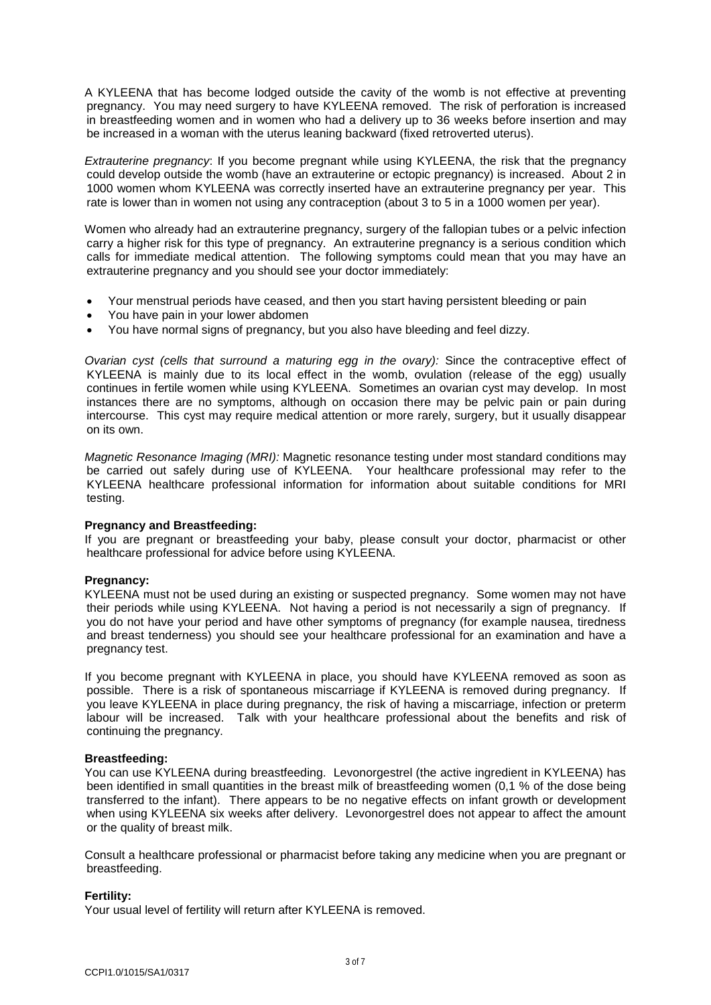A KYLEENA that has become lodged outside the cavity of the womb is not effective at preventing pregnancy. You may need surgery to have KYLEENA removed. The risk of perforation is increased in breastfeeding women and in women who had a delivery up to 36 weeks before insertion and may be increased in a woman with the uterus leaning backward (fixed retroverted uterus).

*Extrauterine pregnancy*: If you become pregnant while using KYLEENA, the risk that the pregnancy could develop outside the womb (have an extrauterine or ectopic pregnancy) is increased. About 2 in 1000 women whom KYLEENA was correctly inserted have an extrauterine pregnancy per year. This rate is lower than in women not using any contraception (about 3 to 5 in a 1000 women per year).

Women who already had an extrauterine pregnancy, surgery of the fallopian tubes or a pelvic infection carry a higher risk for this type of pregnancy. An extrauterine pregnancy is a serious condition which calls for immediate medical attention. The following symptoms could mean that you may have an extrauterine pregnancy and you should see your doctor immediately:

- Your menstrual periods have ceased, and then you start having persistent bleeding or pain
- You have pain in your lower abdomen
- You have normal signs of pregnancy, but you also have bleeding and feel dizzy.

*Ovarian cyst (cells that surround a maturing egg in the ovary):* Since the contraceptive effect of KYLEENA is mainly due to its local effect in the womb, ovulation (release of the egg) usually continues in fertile women while using KYLEENA. Sometimes an ovarian cyst may develop. In most instances there are no symptoms, although on occasion there may be pelvic pain or pain during intercourse. This cyst may require medical attention or more rarely, surgery, but it usually disappear on its own.

*Magnetic Resonance Imaging (MRI):* Magnetic resonance testing under most standard conditions may be carried out safely during use of KYLEENA. Your healthcare professional may refer to the KYLEENA healthcare professional information for information about suitable conditions for MRI testing.

## **Pregnancy and Breastfeeding:**

If you are pregnant or breastfeeding your baby, please consult your doctor, pharmacist or other healthcare professional for advice before using KYLEENA.

# **Pregnancy:**

KYLEENA must not be used during an existing or suspected pregnancy. Some women may not have their periods while using KYLEENA. Not having a period is not necessarily a sign of pregnancy. If you do not have your period and have other symptoms of pregnancy (for example nausea, tiredness and breast tenderness) you should see your healthcare professional for an examination and have a pregnancy test.

If you become pregnant with KYLEENA in place, you should have KYLEENA removed as soon as possible. There is a risk of spontaneous miscarriage if KYLEENA is removed during pregnancy. If you leave KYLEENA in place during pregnancy, the risk of having a miscarriage, infection or preterm labour will be increased. Talk with your healthcare professional about the benefits and risk of continuing the pregnancy.

## **Breastfeeding:**

You can use KYLEENA during breastfeeding. Levonorgestrel (the active ingredient in KYLEENA) has been identified in small quantities in the breast milk of breastfeeding women (0,1 % of the dose being transferred to the infant). There appears to be no negative effects on infant growth or development when using KYLEENA six weeks after delivery. Levonorgestrel does not appear to affect the amount or the quality of breast milk.

Consult a healthcare professional or pharmacist before taking any medicine when you are pregnant or breastfeeding.

# **Fertility:**

Your usual level of fertility will return after KYLEENA is removed.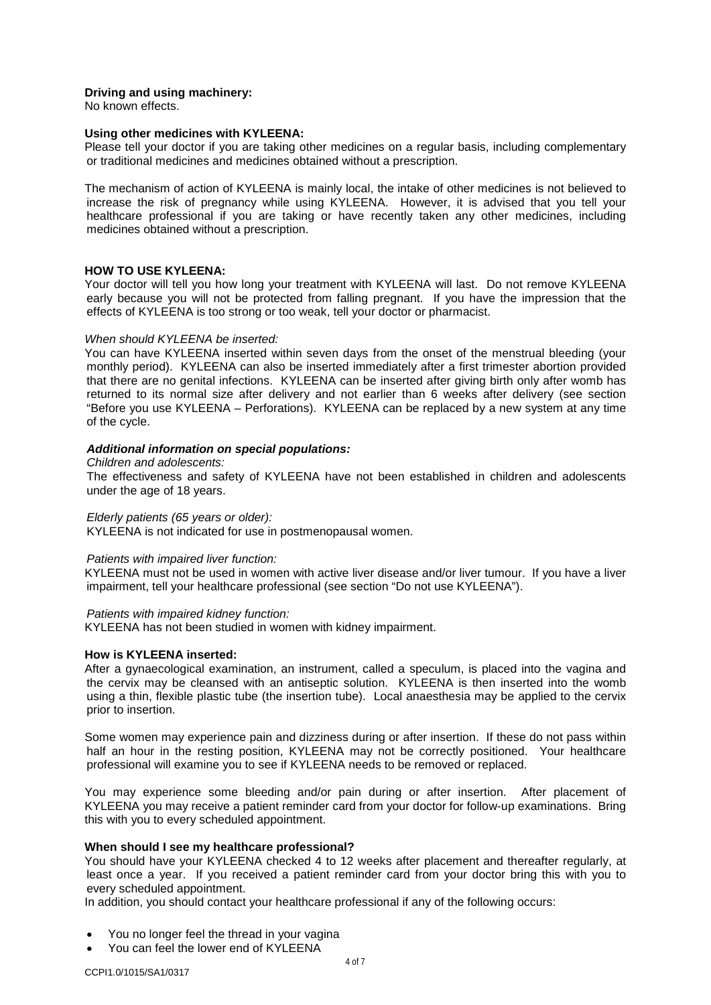# **Driving and using machinery:**

No known effects.

#### **Using other medicines with KYLEENA:**

Please tell your doctor if you are taking other medicines on a regular basis, including complementary or traditional medicines and medicines obtained without a prescription.

The mechanism of action of KYLEENA is mainly local, the intake of other medicines is not believed to increase the risk of pregnancy while using KYLEENA. However, it is advised that you tell your healthcare professional if you are taking or have recently taken any other medicines, including medicines obtained without a prescription.

## **HOW TO USE KYLEENA:**

Your doctor will tell you how long your treatment with KYLEENA will last. Do not remove KYLEENA early because you will not be protected from falling pregnant. If you have the impression that the effects of KYLEENA is too strong or too weak, tell your doctor or pharmacist.

#### *When should KYLEENA be inserted:*

You can have KYLEENA inserted within seven days from the onset of the menstrual bleeding (your monthly period). KYLEENA can also be inserted immediately after a first trimester abortion provided that there are no genital infections. KYLEENA can be inserted after giving birth only after womb has returned to its normal size after delivery and not earlier than 6 weeks after delivery (see section "Before you use KYLEENA – Perforations). KYLEENA can be replaced by a new system at any time of the cycle.

# *Additional information on special populations:*

#### *Children and adolescents:*

The effectiveness and safety of KYLEENA have not been established in children and adolescents under the age of 18 years.

## *Elderly patients (65 years or older):*

KYLEENA is not indicated for use in postmenopausal women.

## *Patients with impaired liver function:*

KYLEENA must not be used in women with active liver disease and/or liver tumour. If you have a liver impairment, tell your healthcare professional (see section "Do not use KYLEENA").

#### *Patients with impaired kidney function:*

KYLEENA has not been studied in women with kidney impairment.

## **How is KYLEENA inserted:**

After a gynaecological examination, an instrument, called a speculum, is placed into the vagina and the cervix may be cleansed with an antiseptic solution. KYLEENA is then inserted into the womb using a thin, flexible plastic tube (the insertion tube). Local anaesthesia may be applied to the cervix prior to insertion.

Some women may experience pain and dizziness during or after insertion. If these do not pass within half an hour in the resting position, KYLEENA may not be correctly positioned. Your healthcare professional will examine you to see if KYLEENA needs to be removed or replaced.

You may experience some bleeding and/or pain during or after insertion. After placement of KYLEENA you may receive a patient reminder card from your doctor for follow-up examinations. Bring this with you to every scheduled appointment.

## **When should I see my healthcare professional?**

You should have your KYLEENA checked 4 to 12 weeks after placement and thereafter regularly, at least once a year. If you received a patient reminder card from your doctor bring this with you to every scheduled appointment.

In addition, you should contact your healthcare professional if any of the following occurs:

- You no longer feel the thread in your vagina
- You can feel the lower end of KYLEENA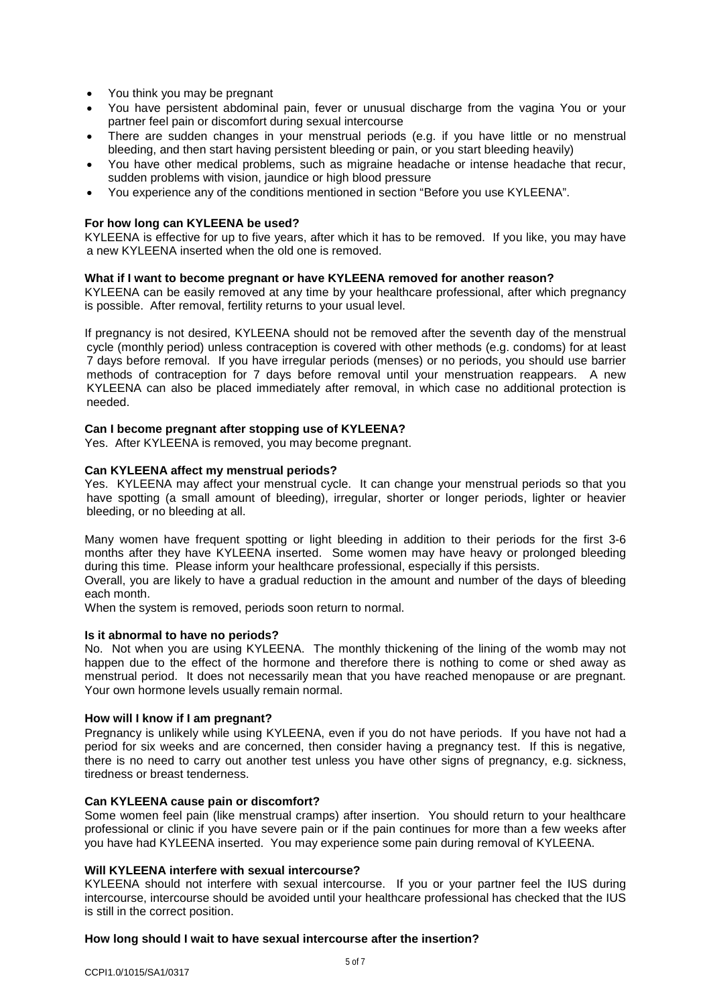- You think you may be pregnant
- You have persistent abdominal pain, fever or unusual discharge from the vagina You or your partner feel pain or discomfort during sexual intercourse
- There are sudden changes in your menstrual periods (e.g. if you have little or no menstrual bleeding, and then start having persistent bleeding or pain, or you start bleeding heavily)
- You have other medical problems, such as migraine headache or intense headache that recur, sudden problems with vision, jaundice or high blood pressure
- You experience any of the conditions mentioned in section "Before you use KYLEENA".

# **For how long can KYLEENA be used?**

KYLEENA is effective for up to five years, after which it has to be removed. If you like, you may have a new KYLEENA inserted when the old one is removed.

#### **What if I want to become pregnant or have KYLEENA removed for another reason?**

KYLEENA can be easily removed at any time by your healthcare professional, after which pregnancy is possible. After removal, fertility returns to your usual level.

If pregnancy is not desired, KYLEENA should not be removed after the seventh day of the menstrual cycle (monthly period) unless contraception is covered with other methods (e.g. condoms) for at least 7 days before removal. If you have irregular periods (menses) or no periods, you should use barrier methods of contraception for 7 days before removal until your menstruation reappears. A new KYLEENA can also be placed immediately after removal, in which case no additional protection is needed.

#### **Can I become pregnant after stopping use of KYLEENA?**

Yes. After KYLEENA is removed, you may become pregnant.

## **Can KYLEENA affect my menstrual periods?**

Yes. KYLEENA may affect your menstrual cycle. It can change your menstrual periods so that you have spotting (a small amount of bleeding), irregular, shorter or longer periods, lighter or heavier bleeding, or no bleeding at all.

Many women have frequent spotting or light bleeding in addition to their periods for the first 3-6 months after they have KYLEENA inserted. Some women may have heavy or prolonged bleeding during this time. Please inform your healthcare professional, especially if this persists.

Overall, you are likely to have a gradual reduction in the amount and number of the days of bleeding each month.

When the system is removed, periods soon return to normal.

#### **Is it abnormal to have no periods?**

No. Not when you are using KYLEENA. The monthly thickening of the lining of the womb may not happen due to the effect of the hormone and therefore there is nothing to come or shed away as menstrual period. It does not necessarily mean that you have reached menopause or are pregnant. Your own hormone levels usually remain normal.

#### **How will I know if I am pregnant?**

Pregnancy is unlikely while using KYLEENA, even if you do not have periods. If you have not had a period for six weeks and are concerned, then consider having a pregnancy test. If this is negative*,*  there is no need to carry out another test unless you have other signs of pregnancy, e.g. sickness, tiredness or breast tenderness.

## **Can KYLEENA cause pain or discomfort?**

Some women feel pain (like menstrual cramps) after insertion. You should return to your healthcare professional or clinic if you have severe pain or if the pain continues for more than a few weeks after you have had KYLEENA inserted. You may experience some pain during removal of KYLEENA.

## **Will KYLEENA interfere with sexual intercourse?**

KYLEENA should not interfere with sexual intercourse. If you or your partner feel the IUS during intercourse, intercourse should be avoided until your healthcare professional has checked that the IUS is still in the correct position.

#### **How long should I wait to have sexual intercourse after the insertion?**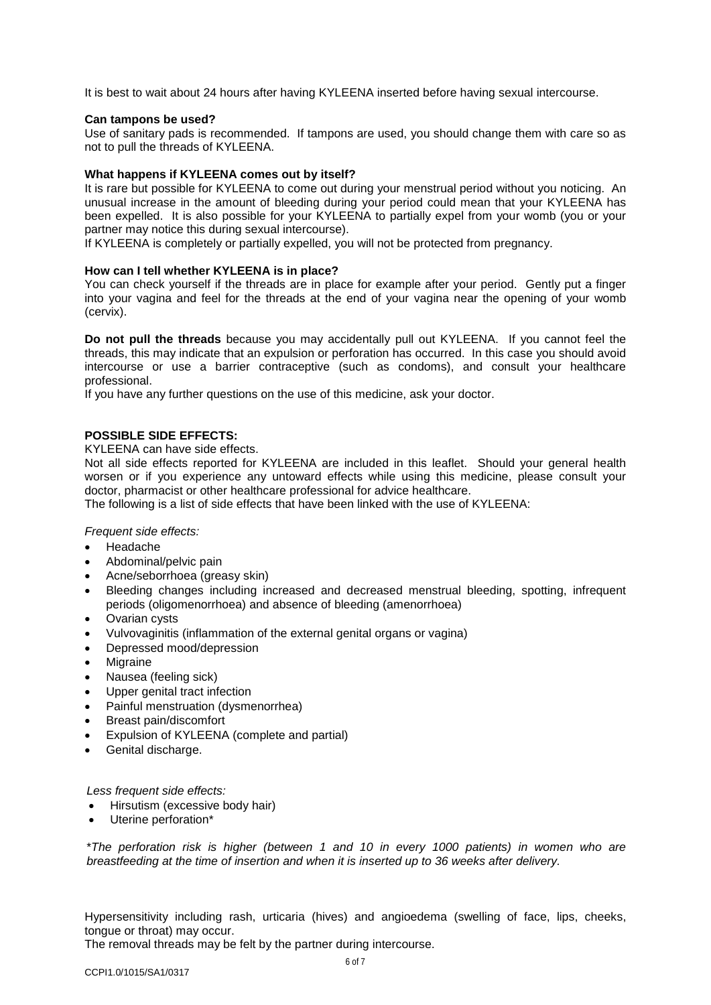It is best to wait about 24 hours after having KYLEENA inserted before having sexual intercourse.

#### **Can tampons be used?**

Use of sanitary pads is recommended. If tampons are used, you should change them with care so as not to pull the threads of KYLEENA.

## **What happens if KYLEENA comes out by itself?**

It is rare but possible for KYLEENA to come out during your menstrual period without you noticing. An unusual increase in the amount of bleeding during your period could mean that your KYLEENA has been expelled. It is also possible for your KYLEENA to partially expel from your womb (you or your partner may notice this during sexual intercourse).

If KYLEENA is completely or partially expelled, you will not be protected from pregnancy.

## **How can I tell whether KYLEENA is in place?**

You can check yourself if the threads are in place for example after your period. Gently put a finger into your vagina and feel for the threads at the end of your vagina near the opening of your womb (cervix).

**Do not pull the threads** because you may accidentally pull out KYLEENA. If you cannot feel the threads, this may indicate that an expulsion or perforation has occurred. In this case you should avoid intercourse or use a barrier contraceptive (such as condoms), and consult your healthcare professional.

If you have any further questions on the use of this medicine, ask your doctor.

# **POSSIBLE SIDE EFFECTS:**

KYLEENA can have side effects.

Not all side effects reported for KYLEENA are included in this leaflet. Should your general health worsen or if you experience any untoward effects while using this medicine, please consult your doctor, pharmacist or other healthcare professional for advice healthcare.

The following is a list of side effects that have been linked with the use of KYLEENA:

*Frequent side effects:*

- Headache
- Abdominal/pelvic pain
- Acne/seborrhoea (greasy skin)
- Bleeding changes including increased and decreased menstrual bleeding, spotting, infrequent periods (oligomenorrhoea) and absence of bleeding (amenorrhoea)
- Ovarian cysts
- Vulvovaginitis (inflammation of the external genital organs or vagina)
- Depressed mood/depression
- **Migraine**
- Nausea (feeling sick)
- Upper genital tract infection
- Painful menstruation (dysmenorrhea)
- Breast pain/discomfort
- Expulsion of KYLEENA (complete and partial)
- Genital discharge.

*Less frequent side effects:*

- Hirsutism (excessive body hair)
- Uterine perforation\*

\**The perforation risk is higher (between 1 and 10 in every 1000 patients) in women who are breastfeeding at the time of insertion and when it is inserted up to 36 weeks after delivery.* 

Hypersensitivity including rash, urticaria (hives) and angioedema (swelling of face, lips, cheeks, tongue or throat) may occur.

The removal threads may be felt by the partner during intercourse.